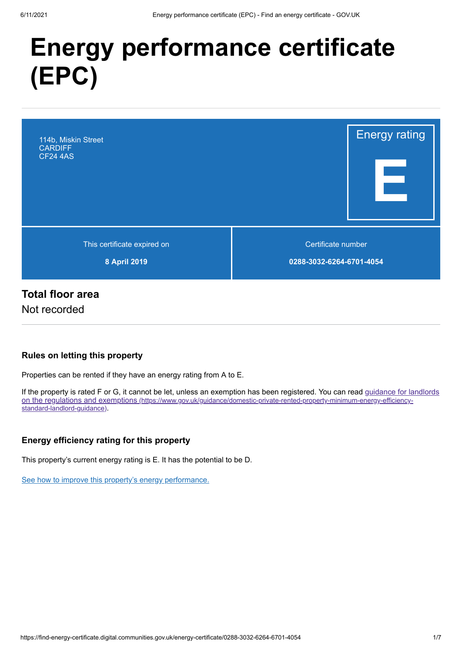# **Energy performance certificate (EPC)**



# **Total floor area**

Not recorded

## **Rules on letting this property**

Properties can be rented if they have an energy rating from A to E.

[If the property is rated F or G, it cannot be let, unless an exemption has been registered. You can read guidance for landlords](https://www.gov.uk/guidance/domestic-private-rented-property-minimum-energy-efficiency-standard-landlord-guidance) on the regulations and exemptions (https://www.gov.uk/guidance/domestic-private-rented-property-minimum-energy-efficiencystandard-landlord-guidance).

## **Energy efficiency rating for this property**

This property's current energy rating is E. It has the potential to be D.

[See how to improve this property's energy performance.](#page-3-0)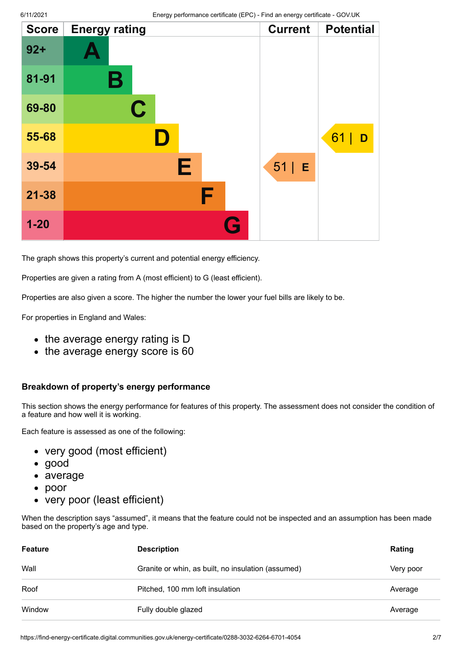| <b>Score</b> | <b>Energy rating</b> | <b>Current</b> | <b>Potential</b> |
|--------------|----------------------|----------------|------------------|
| $92 +$       |                      |                |                  |
| 81-91        | Β                    |                |                  |
| 69-80        | $\mathbf C$          |                |                  |
| 55-68        | D                    |                | 61<br>D          |
| 39-54        | Е                    | 51 <br>E       |                  |
| $21 - 38$    | F                    |                |                  |
| $1 - 20$     | G                    |                |                  |

The graph shows this property's current and potential energy efficiency.

Properties are given a rating from A (most efficient) to G (least efficient).

Properties are also given a score. The higher the number the lower your fuel bills are likely to be.

For properties in England and Wales:

- the average energy rating is D
- the average energy score is 60

#### **Breakdown of property's energy performance**

This section shows the energy performance for features of this property. The assessment does not consider the condition of a feature and how well it is working.

Each feature is assessed as one of the following:

- very good (most efficient)
- good
- average
- poor  $\bullet$
- very poor (least efficient)

When the description says "assumed", it means that the feature could not be inspected and an assumption has been made based on the property's age and type.

| <b>Feature</b> | <b>Description</b>                                 | Rating    |
|----------------|----------------------------------------------------|-----------|
| Wall           | Granite or whin, as built, no insulation (assumed) | Very poor |
| Roof           | Pitched, 100 mm loft insulation                    | Average   |
| Window         | Fully double glazed                                | Average   |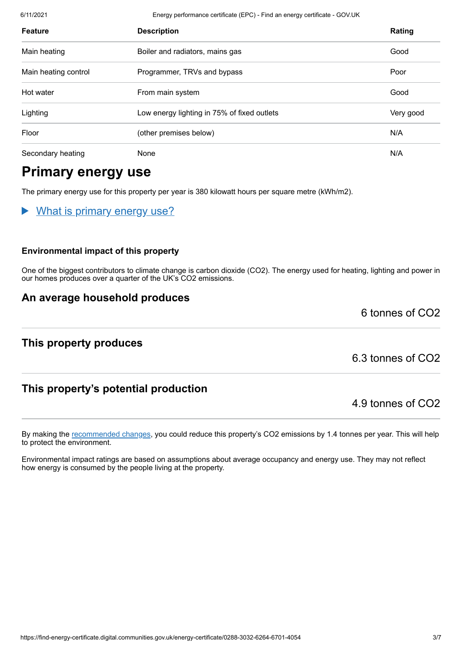6/11/2021 Energy performance certificate (EPC) - Find an energy certificate - GOV.UK

| <b>Feature</b>       | <b>Description</b>                          | Rating    |
|----------------------|---------------------------------------------|-----------|
| Main heating         | Boiler and radiators, mains gas             | Good      |
| Main heating control | Programmer, TRVs and bypass                 | Poor      |
| Hot water            | From main system                            | Good      |
| Lighting             | Low energy lighting in 75% of fixed outlets | Very good |
| Floor                | (other premises below)                      | N/A       |
| Secondary heating    | <b>None</b>                                 | N/A       |

# **Primary energy use**

The primary energy use for this property per year is 380 kilowatt hours per square metre (kWh/m2).

What is primary energy use?

#### **Environmental impact of this property**

One of the biggest contributors to climate change is carbon dioxide (CO2). The energy used for heating, lighting and power in our homes produces over a quarter of the UK's CO2 emissions.

## **An average household produces**

**This property produces**

6.3 tonnes of CO2

6 tonnes of CO2

# **This property's potential production**

4.9 tonnes of CO2

By making the [recommended changes](#page-3-0), you could reduce this property's CO2 emissions by 1.4 tonnes per year. This will help to protect the environment.

Environmental impact ratings are based on assumptions about average occupancy and energy use. They may not reflect how energy is consumed by the people living at the property.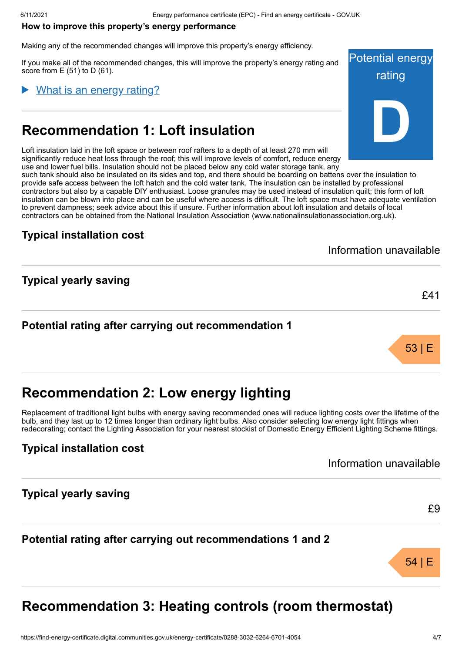#### <span id="page-3-0"></span>**How to improve this property's energy performance**

Making any of the recommended changes will improve this property's energy efficiency.

If you make all of the recommended changes, this will improve the property's energy rating and score from  $E(51)$  to  $D(61)$ .

#### What is an energy rating?

# **Recommendation 1: Loft insulation**

Loft insulation laid in the loft space or between roof rafters to a depth of at least 270 mm will significantly reduce heat loss through the roof; this will improve levels of comfort, reduce energy use and lower fuel bills. Insulation should not be placed below any cold water storage tank, any such tank should also be insulated on its sides and top, and there should be boarding on battens over the insulation to provide safe access between the loft hatch and the cold water tank. The insulation can be installed by professional contractors but also by a capable DIY enthusiast. Loose granules may be used instead of insulation quilt; this form of loft insulation can be blown into place and can be useful where access is difficult. The loft space must have adequate ventilation to prevent dampness; seek advice about this if unsure. Further information about loft insulation and details of local contractors can be obtained from the National Insulation Association (www.nationalinsulationassociation.org.uk).

## **Typical installation cost**

**Typical yearly saving**

Information unavailable

£41

53 | E

## **Potential rating after carrying out recommendation 1**

# **Recommendation 2: Low energy lighting**

Replacement of traditional light bulbs with energy saving recommended ones will reduce lighting costs over the lifetime of the bulb, and they last up to 12 times longer than ordinary light bulbs. Also consider selecting low energy light fittings when redecorating; contact the Lighting Association for your nearest stockist of Domestic Energy Efficient Lighting Scheme fittings.

## **Typical installation cost**

Information unavailable

## **Typical yearly saving**

£9

54 | E

## **Potential rating after carrying out recommendations 1 and 2**

# **Recommendation 3: Heating controls (room thermostat)**

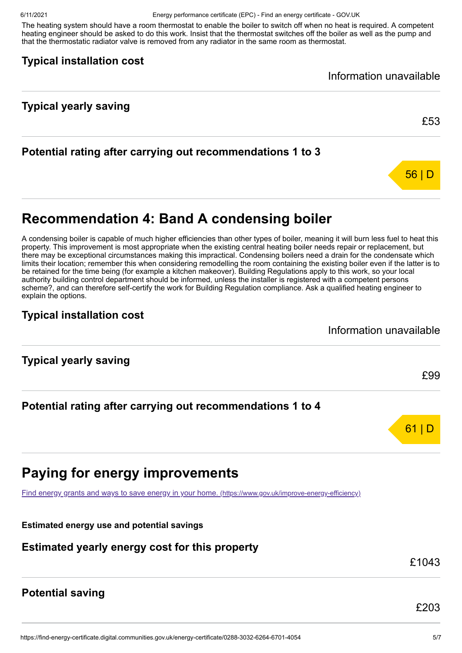6/11/2021 Energy performance certificate (EPC) - Find an energy certificate - GOV.UK

The heating system should have a room thermostat to enable the boiler to switch off when no heat is required. A competent heating engineer should be asked to do this work. Insist that the thermostat switches off the boiler as well as the pump and that the thermostatic radiator valve is removed from any radiator in the same room as thermostat.

## **Typical installation cost**

Information unavailable

# **Typical yearly saving**

# **Potential rating after carrying out recommendations 1 to 3**



£53

# **Recommendation 4: Band A condensing boiler**

A condensing boiler is capable of much higher efficiencies than other types of boiler, meaning it will burn less fuel to heat this property. This improvement is most appropriate when the existing central heating boiler needs repair or replacement, but there may be exceptional circumstances making this impractical. Condensing boilers need a drain for the condensate which limits their location; remember this when considering remodelling the room containing the existing boiler even if the latter is to be retained for the time being (for example a kitchen makeover). Building Regulations apply to this work, so your local authority building control department should be informed, unless the installer is registered with a competent persons scheme?, and can therefore self-certify the work for Building Regulation compliance. Ask a qualified heating engineer to explain the options.

# **Typical installation cost**

Information unavailable

**Typical yearly saving**

**Potential rating after carrying out recommendations 1 to 4**



[Find energy grants and ways to save energy in your home.](https://www.gov.uk/improve-energy-efficiency) (https://www.gov.uk/improve-energy-efficiency)

**Estimated energy use and potential savings**

# **Estimated yearly energy cost for this property**

£1043

£99

61 | D

# **Potential saving**

£203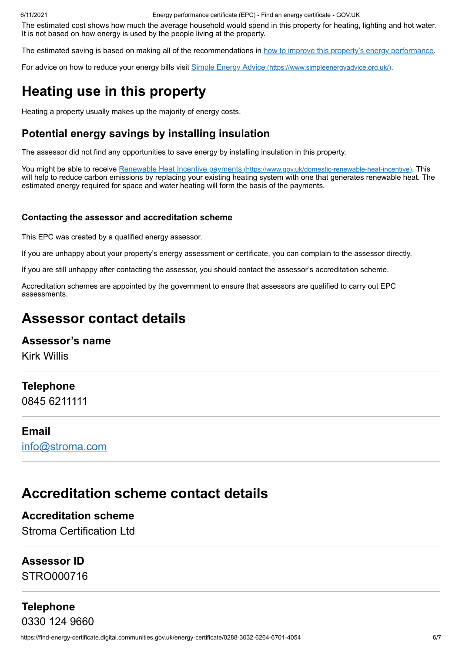6/11/2021 Energy performance certificate (EPC) - Find an energy certificate - GOV.UK

The estimated cost shows how much the average household would spend in this property for heating, lighting and hot water. It is not based on how energy is used by the people living at the property.

The estimated saving is based on making all of the recommendations in [how to improve this property's energy performance.](#page-3-0)

For advice on how to reduce your energy bills visit Simple Energy Advice [\(https://www.simpleenergyadvice.org.uk/\)](https://www.simpleenergyadvice.org.uk/).

# **Heating use in this property**

Heating a property usually makes up the majority of energy costs.

# **Potential energy savings by installing insulation**

The assessor did not find any opportunities to save energy by installing insulation in this property.

You might be able to receive Renewable Heat Incentive payments [\(https://www.gov.uk/domestic-renewable-heat-incentive\)](https://www.gov.uk/domestic-renewable-heat-incentive). This will help to reduce carbon emissions by replacing your existing heating system with one that generates renewable heat. The estimated energy required for space and water heating will form the basis of the payments.

#### **Contacting the assessor and accreditation scheme**

This EPC was created by a qualified energy assessor.

If you are unhappy about your property's energy assessment or certificate, you can complain to the assessor directly.

If you are still unhappy after contacting the assessor, you should contact the assessor's accreditation scheme.

Accreditation schemes are appointed by the government to ensure that assessors are qualified to carry out EPC assessments.

# **Assessor contact details**

## **Assessor's name**

Kirk Willis

## **Telephone**

0845 6211111

#### **Email**

[info@stroma.com](mailto:info@stroma.com)

# **Accreditation scheme contact details**

**Accreditation scheme** Stroma Certification Ltd

## **Assessor ID**

STRO000716

# **Telephone** 0330 124 9660